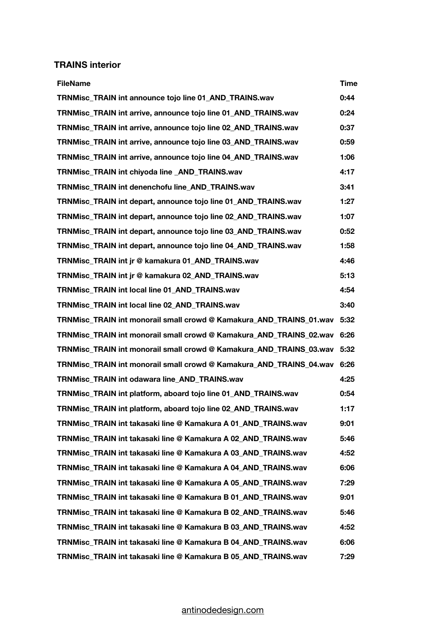## **TRAINS interior**

| <b>FileName</b>                                                     | <b>Time</b> |
|---------------------------------------------------------------------|-------------|
| TRNMisc_TRAIN int announce tojo line 01_AND_TRAINS.wav              | 0:44        |
| TRNMisc_TRAIN int arrive, announce tojo line 01_AND_TRAINS.wav      | 0:24        |
| TRNMisc_TRAIN int arrive, announce tojo line 02_AND_TRAINS.wav      | 0:37        |
| TRNMisc_TRAIN int arrive, announce tojo line 03_AND_TRAINS.wav      | 0:59        |
| TRNMisc_TRAIN int arrive, announce tojo line 04_AND_TRAINS.wav      | 1:06        |
| TRNMisc_TRAIN int chiyoda line _AND_TRAINS.wav                      | 4:17        |
| <b>TRNMisc TRAIN int denenchofu line AND TRAINS.wav</b>             | 3:41        |
| TRNMisc_TRAIN int depart, announce tojo line 01_AND_TRAINS.wav      | 1:27        |
| TRNMisc_TRAIN int depart, announce tojo line 02_AND_TRAINS.wav      | 1:07        |
| TRNMisc TRAIN int depart, announce tojo line 03 AND TRAINS.wav      | 0:52        |
| TRNMisc_TRAIN int depart, announce tojo line 04_AND_TRAINS.wav      | 1:58        |
| TRNMisc TRAIN int jr @ kamakura 01 AND TRAINS.wav                   | 4:46        |
| TRNMisc TRAIN int jr @ kamakura 02 AND TRAINS.wav                   | 5:13        |
| TRNMisc TRAIN int local line 01 AND TRAINS.wav                      | 4:54        |
| TRNMisc_TRAIN int local line 02_AND_TRAINS.wav                      | 3:40        |
| TRNMisc_TRAIN int monorail small crowd @ Kamakura_AND_TRAINS_01.wav | 5:32        |
| TRNMisc TRAIN int monorail small crowd @ Kamakura AND TRAINS 02.wav | 6:26        |
| TRNMisc_TRAIN int monorail small crowd @ Kamakura_AND_TRAINS_03.wav | 5:32        |
| TRNMisc_TRAIN int monorail small crowd @ Kamakura_AND_TRAINS_04.wav | 6:26        |
| <b>TRNMisc TRAIN int odawara line AND TRAINS.wav</b>                | 4:25        |
| TRNMisc_TRAIN int platform, aboard tojo line 01_AND_TRAINS.wav      | 0:54        |
| TRNMisc_TRAIN int platform, aboard tojo line 02_AND_TRAINS.wav      | 1:17        |
| TRNMisc TRAIN int takasaki line @ Kamakura A 01 AND TRAINS.wav      | 9:01        |
| TRNMisc TRAIN int takasaki line @ Kamakura A 02 AND TRAINS.wav      | 5:46        |
| TRNMisc_TRAIN int takasaki line @ Kamakura A 03_AND_TRAINS.wav      | 4:52        |
| TRNMisc_TRAIN int takasaki line @ Kamakura A 04_AND_TRAINS.wav      | 6:06        |
| TRNMisc TRAIN int takasaki line @ Kamakura A 05 AND TRAINS.wav      | 7:29        |
| TRNMisc_TRAIN int takasaki line @ Kamakura B 01_AND_TRAINS.wav      | 9:01        |
| TRNMisc_TRAIN int takasaki line @ Kamakura B 02_AND_TRAINS.wav      | 5:46        |
| TRNMisc TRAIN int takasaki line @ Kamakura B 03 AND TRAINS.wav      | 4:52        |
| TRNMisc TRAIN int takasaki line @ Kamakura B 04 AND TRAINS.wav      | 6:06        |
| TRNMisc_TRAIN int takasaki line @ Kamakura B 05_AND_TRAINS.wav      | 7:29        |

## [antinodedesign.com](http://antinodedesign.com)